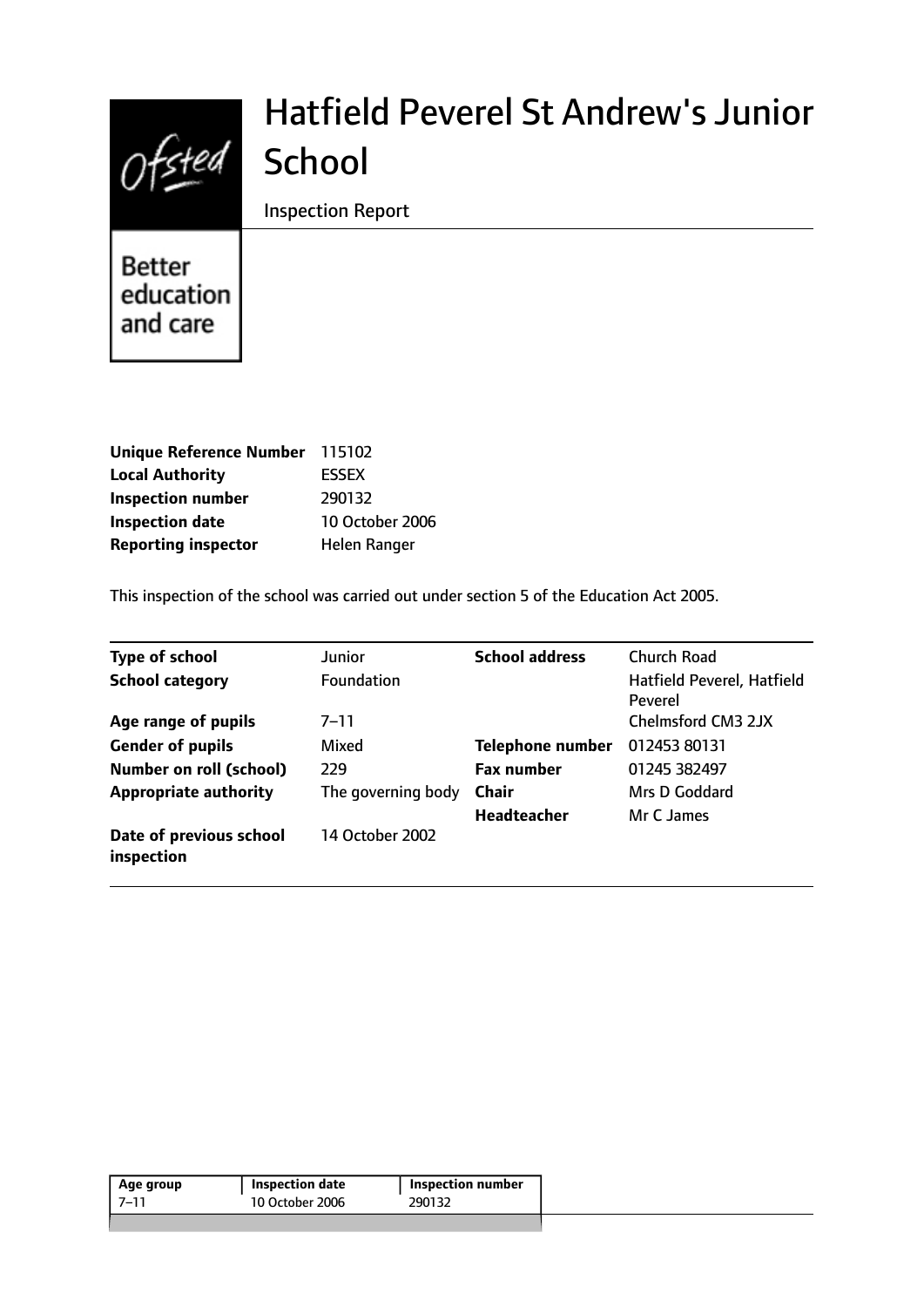# $Of$ sted

# Hatfield Peverel St Andrew's Junior **School**

Inspection Report

Better education and care

| Unique Reference Number 115102 |                 |
|--------------------------------|-----------------|
| <b>Local Authority</b>         | <b>ESSEX</b>    |
| <b>Inspection number</b>       | 290132          |
| <b>Inspection date</b>         | 10 October 2006 |
| <b>Reporting inspector</b>     | Helen Ranger    |

This inspection of the school was carried out under section 5 of the Education Act 2005.

| <b>Type of school</b>                 | Junior             | <b>School address</b>   | <b>Church Road</b>                    |
|---------------------------------------|--------------------|-------------------------|---------------------------------------|
| <b>School category</b>                | <b>Foundation</b>  |                         | Hatfield Peverel, Hatfield<br>Peverel |
| Age range of pupils                   | $7 - 11$           |                         | Chelmsford CM3 2JX                    |
| <b>Gender of pupils</b>               | Mixed              | <b>Telephone number</b> | 012453 80131                          |
| <b>Number on roll (school)</b>        | 229                | <b>Fax number</b>       | 01245 382497                          |
| <b>Appropriate authority</b>          | The governing body | <b>Chair</b>            | Mrs D Goddard                         |
|                                       |                    | Headteacher             | Mr C James                            |
| Date of previous school<br>inspection | 14 October 2002    |                         |                                       |

| Age group | <b>Inspection date</b> | Inspection number |
|-----------|------------------------|-------------------|
| - ר-ד     | 10 October 2006        | 290132            |
|           |                        |                   |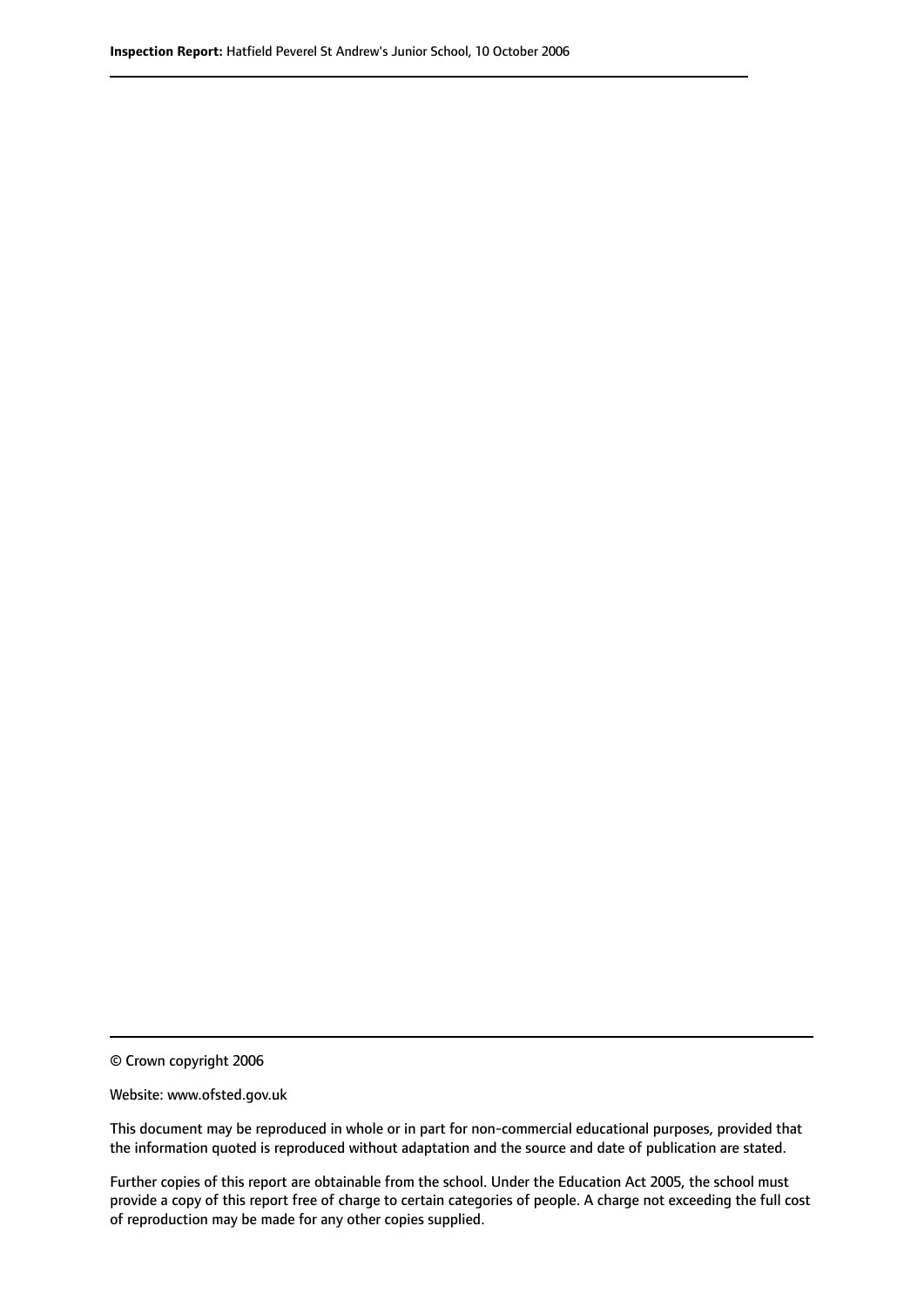© Crown copyright 2006

Website: www.ofsted.gov.uk

This document may be reproduced in whole or in part for non-commercial educational purposes, provided that the information quoted is reproduced without adaptation and the source and date of publication are stated.

Further copies of this report are obtainable from the school. Under the Education Act 2005, the school must provide a copy of this report free of charge to certain categories of people. A charge not exceeding the full cost of reproduction may be made for any other copies supplied.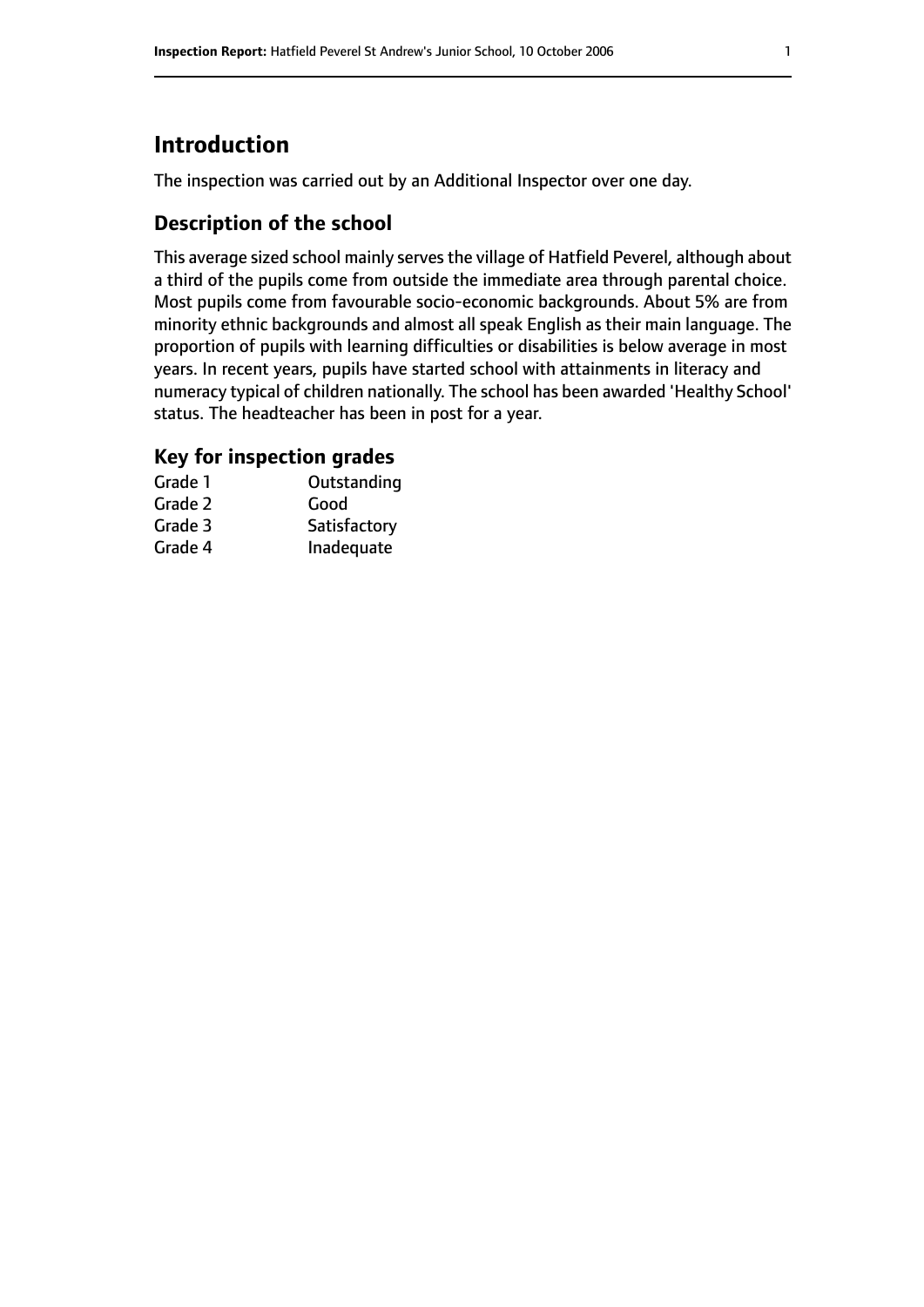# **Introduction**

The inspection was carried out by an Additional Inspector over one day.

#### **Description of the school**

This average sized school mainly serves the village of Hatfield Peverel, although about a third of the pupils come from outside the immediate area through parental choice. Most pupils come from favourable socio-economic backgrounds. About 5% are from minority ethnic backgrounds and almost all speak English as their main language. The proportion of pupils with learning difficulties or disabilities is below average in most years. In recent years, pupils have started school with attainments in literacy and numeracy typical of children nationally. The school has been awarded 'Healthy School' status. The headteacher has been in post for a year.

#### **Key for inspection grades**

| Grade 1 | Outstanding  |
|---------|--------------|
| Grade 2 | Good         |
| Grade 3 | Satisfactory |
| Grade 4 | Inadequate   |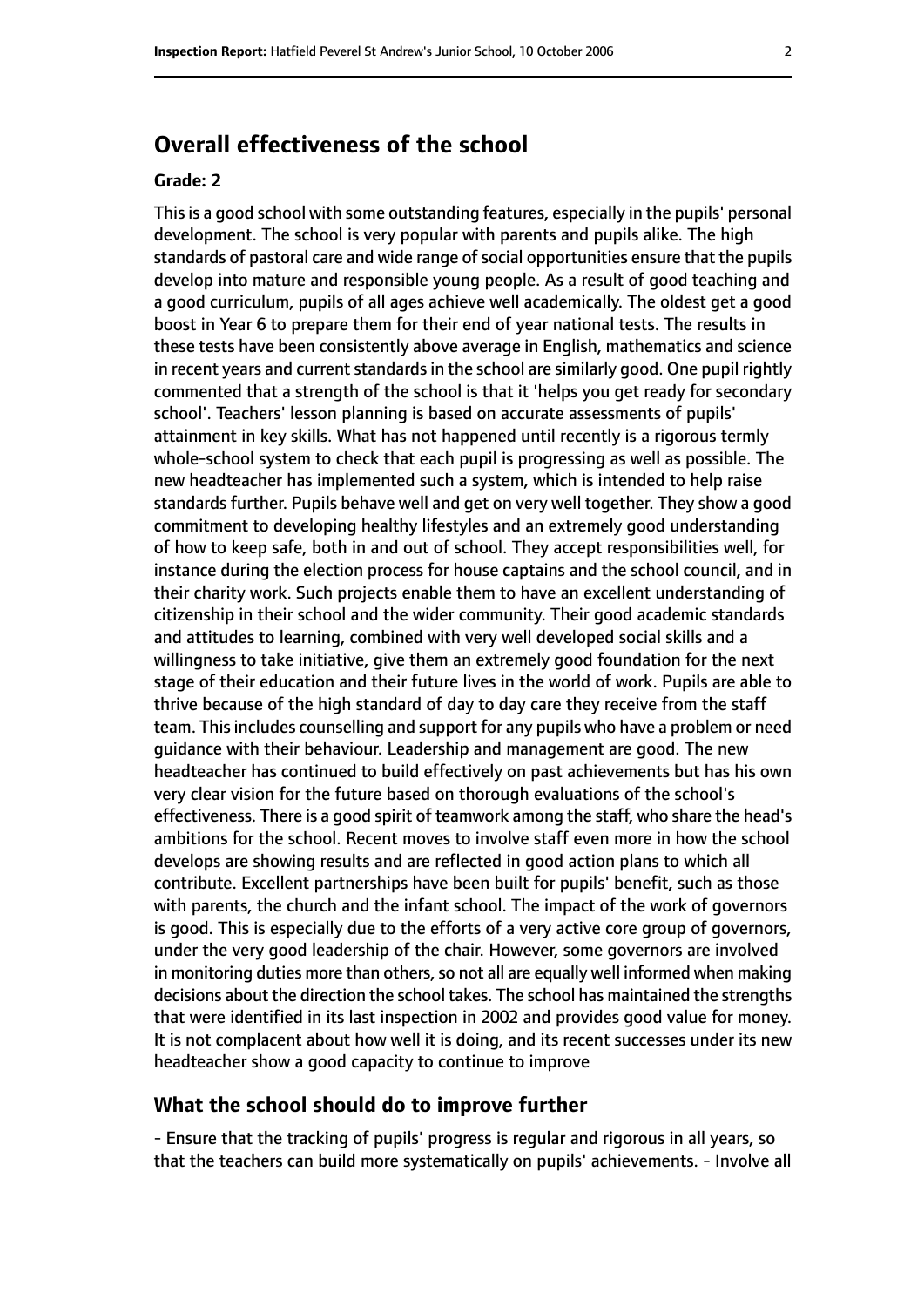### **Overall effectiveness of the school**

#### **Grade: 2**

Thisis a good school with some outstanding features, especially in the pupils' personal development. The school is very popular with parents and pupils alike. The high standards of pastoral care and wide range of social opportunities ensure that the pupils develop into mature and responsible young people. As a result of good teaching and a good curriculum, pupils of all ages achieve well academically. The oldest get a good boost in Year 6 to prepare them for their end of year national tests. The results in these tests have been consistently above average in English, mathematics and science in recent years and current standards in the school are similarly good. One pupil rightly commented that a strength of the school is that it 'helps you get ready for secondary school'. Teachers' lesson planning is based on accurate assessments of pupils' attainment in key skills. What has not happened until recently is a rigorous termly whole-school system to check that each pupil is progressing as well as possible. The new headteacher has implemented such a system, which is intended to help raise standards further. Pupils behave well and get on very well together. They show a good commitment to developing healthy lifestyles and an extremely good understanding of how to keep safe, both in and out of school. They accept responsibilities well, for instance during the election process for house captains and the school council, and in their charity work. Such projects enable them to have an excellent understanding of citizenship in their school and the wider community. Their good academic standards and attitudes to learning, combined with very well developed social skills and a willingness to take initiative, give them an extremely good foundation for the next stage of their education and their future lives in the world of work. Pupils are able to thrive because of the high standard of day to day care they receive from the staff team. This includes counselling and support for any pupils who have a problem or need guidance with their behaviour. Leadership and management are good. The new headteacher has continued to build effectively on past achievements but has his own very clear vision for the future based on thorough evaluations of the school's effectiveness. There is a good spirit of teamwork among the staff, who share the head's ambitions for the school. Recent moves to involve staff even more in how the school develops are showing results and are reflected in good action plans to which all contribute. Excellent partnerships have been built for pupils' benefit, such as those with parents, the church and the infant school. The impact of the work of governors is good. This is especially due to the efforts of a very active core group of governors, under the very good leadership of the chair. However, some governors are involved in monitoring duties more than others, so not all are equally well informed when making decisions about the direction the school takes. The school has maintained the strengths that were identified in its last inspection in 2002 and provides good value for money. It is not complacent about how well it is doing, and its recent successes under its new headteacher show a good capacity to continue to improve

#### **What the school should do to improve further**

- Ensure that the tracking of pupils' progress is regular and rigorous in all years, so that the teachers can build more systematically on pupils' achievements. - Involve all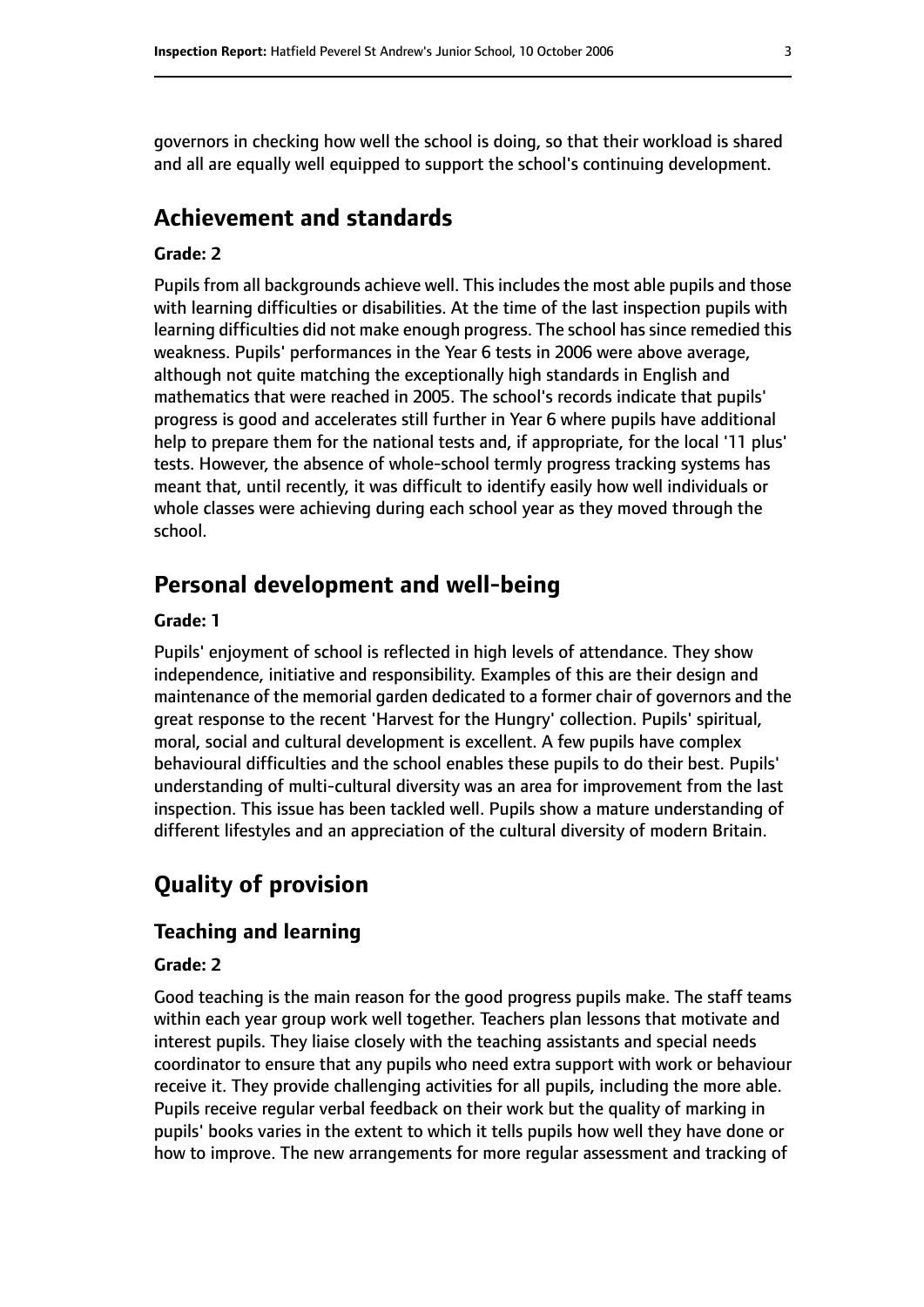governors in checking how well the school is doing, so that their workload is shared and all are equally well equipped to support the school's continuing development.

#### **Achievement and standards**

#### **Grade: 2**

Pupils from all backgrounds achieve well. This includes the most able pupils and those with learning difficulties or disabilities. At the time of the last inspection pupils with learning difficulties did not make enough progress. The school has since remedied this weakness. Pupils' performances in the Year 6 tests in 2006 were above average, although not quite matching the exceptionally high standards in English and mathematics that were reached in 2005. The school's records indicate that pupils' progress is good and accelerates still further in Year 6 where pupils have additional help to prepare them for the national tests and, if appropriate, for the local '11 plus' tests. However, the absence of whole-school termly progress tracking systems has meant that, until recently, it was difficult to identify easily how well individuals or whole classes were achieving during each school year as they moved through the school.

#### **Personal development and well-being**

#### **Grade: 1**

Pupils' enjoyment of school is reflected in high levels of attendance. They show independence, initiative and responsibility. Examples of this are their design and maintenance of the memorial garden dedicated to a former chair of governors and the great response to the recent 'Harvest for the Hungry' collection. Pupils' spiritual, moral, social and cultural development is excellent. A few pupils have complex behavioural difficulties and the school enables these pupils to do their best. Pupils' understanding of multi-cultural diversity was an area for improvement from the last inspection. This issue has been tackled well. Pupils show a mature understanding of different lifestyles and an appreciation of the cultural diversity of modern Britain.

#### **Quality of provision**

#### **Teaching and learning**

#### **Grade: 2**

Good teaching is the main reason for the good progress pupils make. The staff teams within each year group work well together. Teachers plan lessons that motivate and interest pupils. They liaise closely with the teaching assistants and special needs coordinator to ensure that any pupils who need extra support with work or behaviour receive it. They provide challenging activities for all pupils, including the more able. Pupils receive regular verbal feedback on their work but the quality of marking in pupils' books varies in the extent to which it tells pupils how well they have done or how to improve. The new arrangements for more regular assessment and tracking of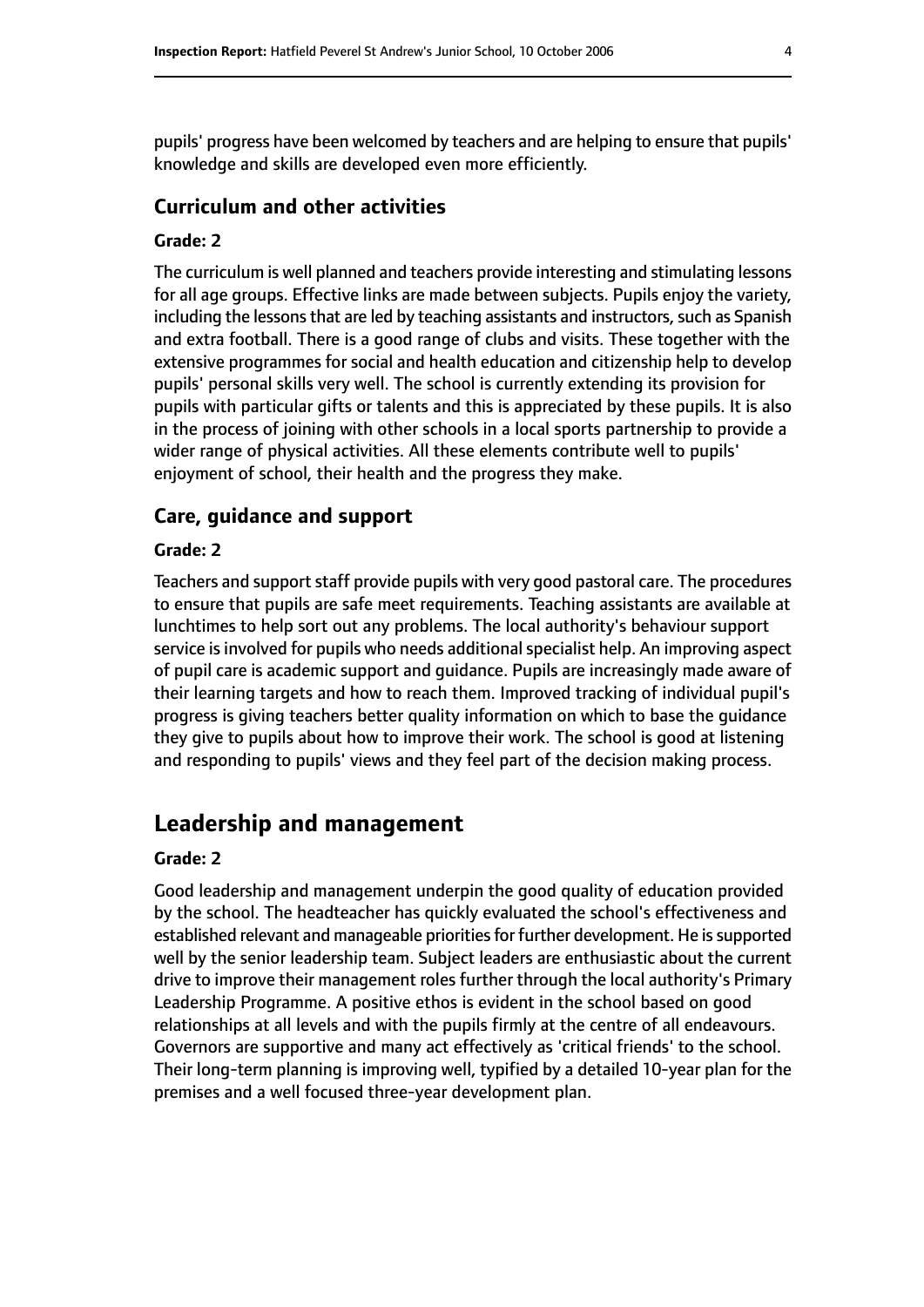pupils' progress have been welcomed by teachers and are helping to ensure that pupils' knowledge and skills are developed even more efficiently.

#### **Curriculum and other activities**

#### **Grade: 2**

The curriculum is well planned and teachers provide interesting and stimulating lessons for all age groups. Effective links are made between subjects. Pupils enjoy the variety, including the lessons that are led by teaching assistants and instructors, such as Spanish and extra football. There is a good range of clubs and visits. These together with the extensive programmes for social and health education and citizenship help to develop pupils' personal skills very well. The school is currently extending its provision for pupils with particular gifts or talents and this is appreciated by these pupils. It is also in the process of joining with other schools in a local sports partnership to provide a wider range of physical activities. All these elements contribute well to pupils' enjoyment of school, their health and the progress they make.

#### **Care, guidance and support**

#### **Grade: 2**

Teachers and support staff provide pupils with very good pastoral care. The procedures to ensure that pupils are safe meet requirements. Teaching assistants are available at lunchtimes to help sort out any problems. The local authority's behaviour support service is involved for pupils who needs additional specialist help. An improving aspect of pupil care is academic support and guidance. Pupils are increasingly made aware of their learning targets and how to reach them. Improved tracking of individual pupil's progress is giving teachers better quality information on which to base the guidance they give to pupils about how to improve their work. The school is good at listening and responding to pupils' views and they feel part of the decision making process.

#### **Leadership and management**

#### **Grade: 2**

Good leadership and management underpin the good quality of education provided by the school. The headteacher has quickly evaluated the school's effectiveness and established relevant and manageable priorities for further development. He is supported well by the senior leadership team. Subject leaders are enthusiastic about the current drive to improve their management roles further through the local authority's Primary Leadership Programme. A positive ethos is evident in the school based on good relationships at all levels and with the pupils firmly at the centre of all endeavours. Governors are supportive and many act effectively as 'critical friends' to the school. Their long-term planning is improving well, typified by a detailed 10-year plan for the premises and a well focused three-year development plan.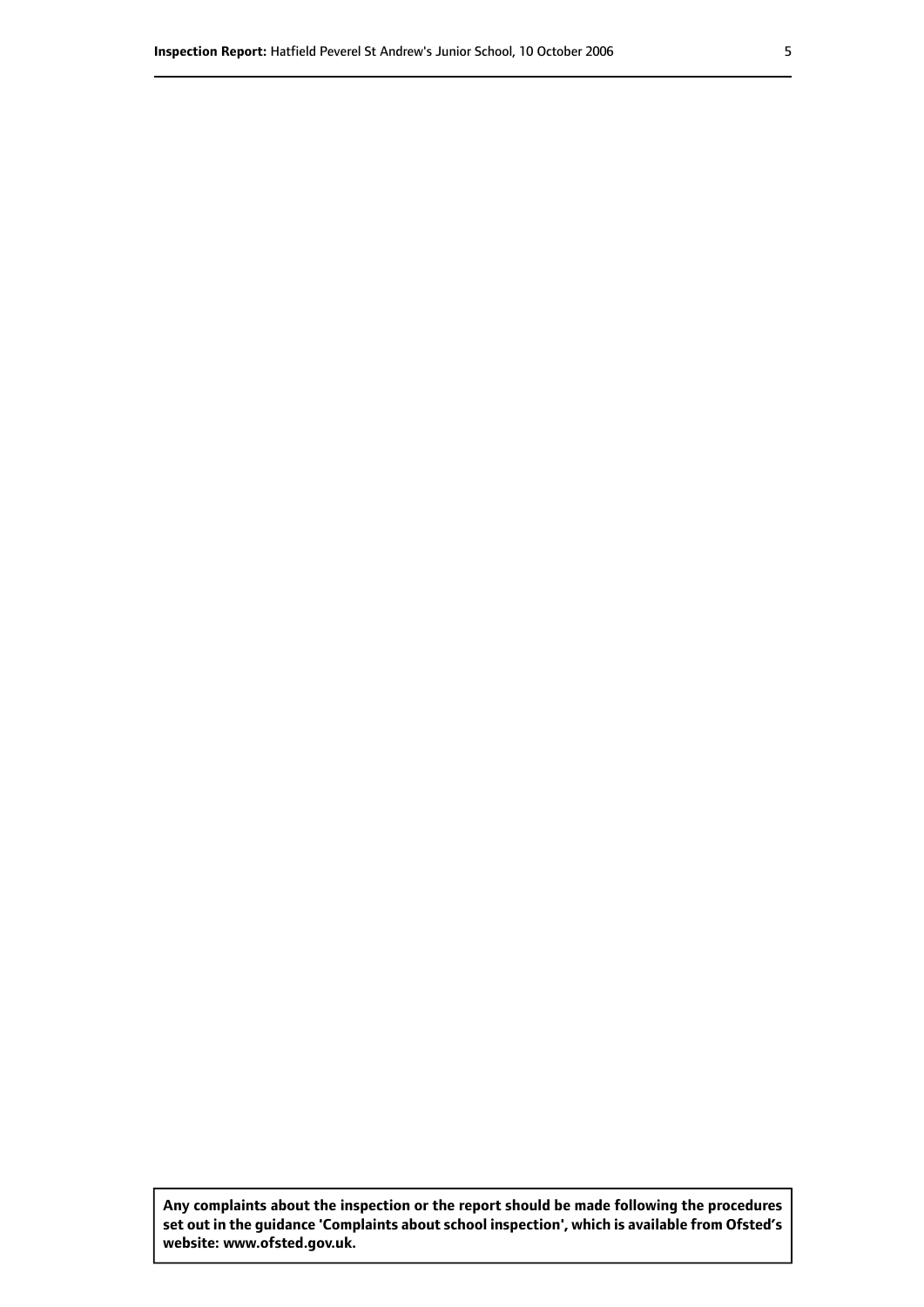**Any complaints about the inspection or the report should be made following the procedures set out inthe guidance 'Complaints about school inspection', whichis available from Ofsted's website: www.ofsted.gov.uk.**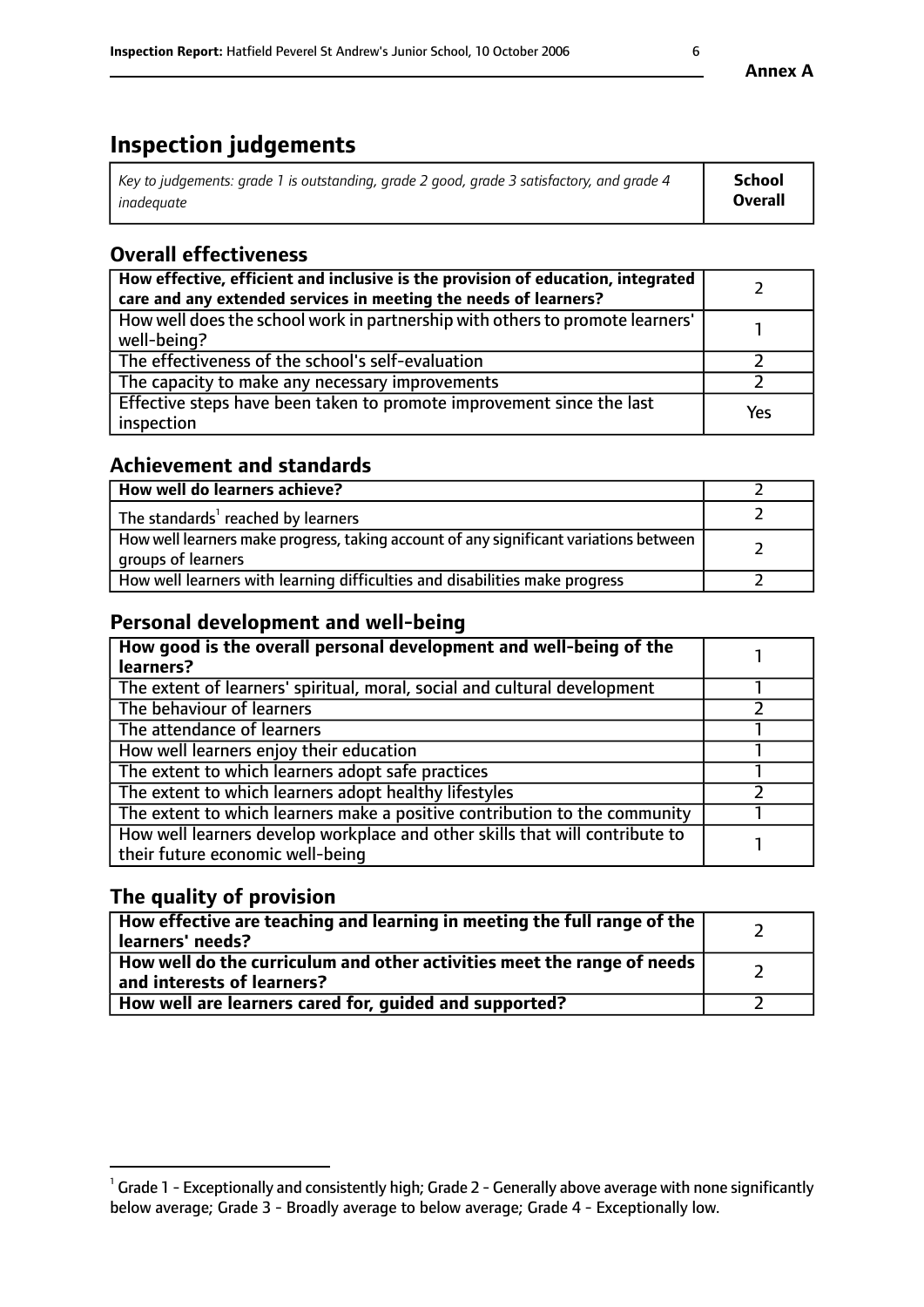# **Inspection judgements**

| Key to judgements: grade 1 is outstanding, grade 2 good, grade 3 satisfactory, and grade 4 | School  |
|--------------------------------------------------------------------------------------------|---------|
| inadeauate                                                                                 | Overall |

#### **Overall effectiveness**

| How effective, efficient and inclusive is the provision of education, integrated<br>care and any extended services in meeting the needs of learners? |     |
|------------------------------------------------------------------------------------------------------------------------------------------------------|-----|
| How well does the school work in partnership with others to promote learners'<br>well-being?                                                         |     |
| The effectiveness of the school's self-evaluation                                                                                                    |     |
| The capacity to make any necessary improvements                                                                                                      |     |
| Effective steps have been taken to promote improvement since the last<br>inspection                                                                  | Yes |

#### **Achievement and standards**

| How well do learners achieve?                                                                               |  |
|-------------------------------------------------------------------------------------------------------------|--|
| The standards <sup>1</sup> reached by learners                                                              |  |
| How well learners make progress, taking account of any significant variations between<br>groups of learners |  |
| How well learners with learning difficulties and disabilities make progress                                 |  |

#### **Personal development and well-being**

| How good is the overall personal development and well-being of the<br>learners?                                  |  |
|------------------------------------------------------------------------------------------------------------------|--|
| The extent of learners' spiritual, moral, social and cultural development                                        |  |
| The behaviour of learners                                                                                        |  |
| The attendance of learners                                                                                       |  |
| How well learners enjoy their education                                                                          |  |
| The extent to which learners adopt safe practices                                                                |  |
| The extent to which learners adopt healthy lifestyles                                                            |  |
| The extent to which learners make a positive contribution to the community                                       |  |
| How well learners develop workplace and other skills that will contribute to<br>their future economic well-being |  |

## **The quality of provision**

| How effective are teaching and learning in meeting the full range of the<br>learners' needs?          |  |
|-------------------------------------------------------------------------------------------------------|--|
| How well do the curriculum and other activities meet the range of needs<br>and interests of learners? |  |
| How well are learners cared for, quided and supported?                                                |  |

**Annex A**

 $^1$  Grade 1 - Exceptionally and consistently high; Grade 2 - Generally above average with none significantly below average; Grade 3 - Broadly average to below average; Grade 4 - Exceptionally low.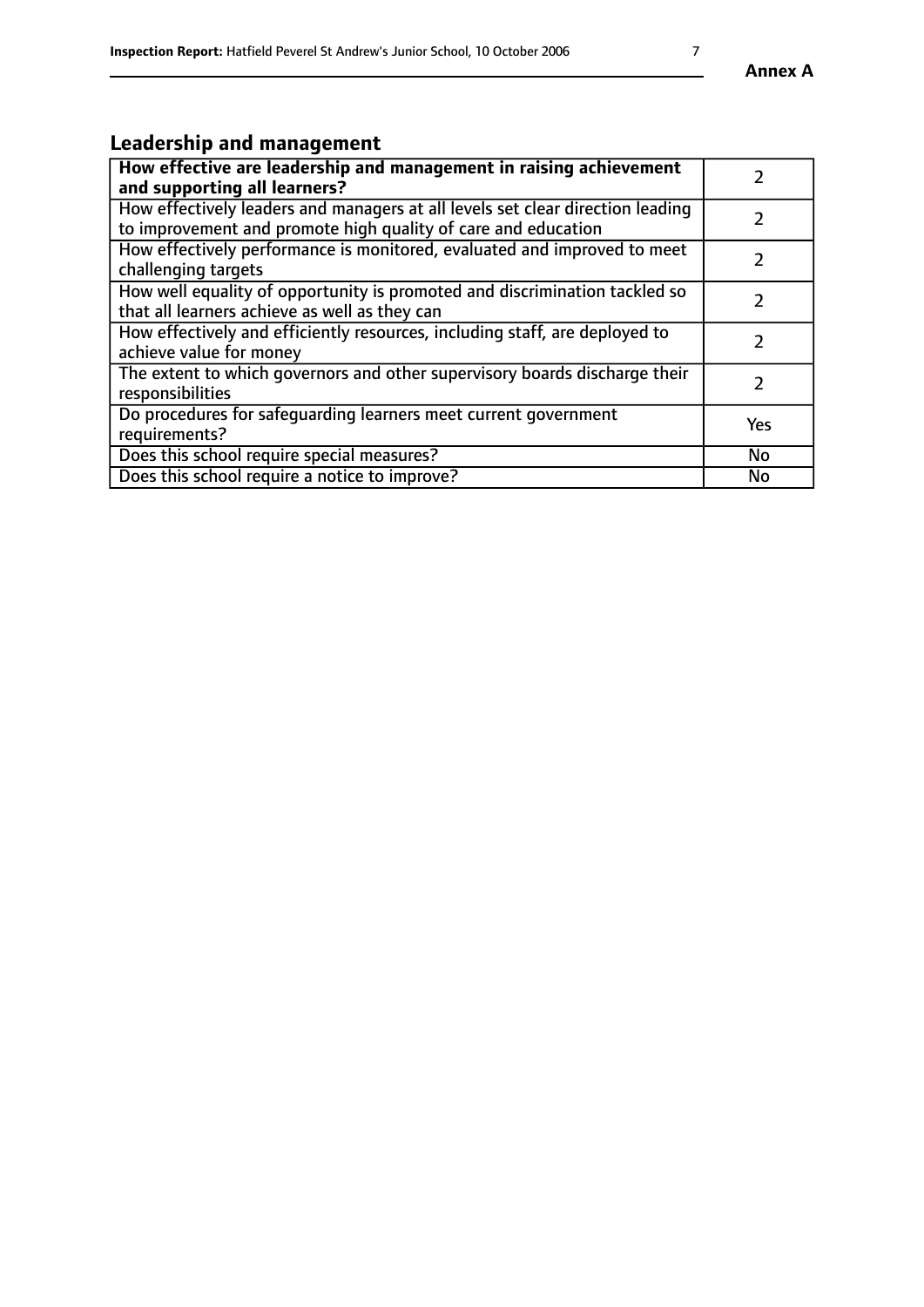# **Leadership and management**

| How effective are leadership and management in raising achievement<br>and supporting all learners?                                              |               |
|-------------------------------------------------------------------------------------------------------------------------------------------------|---------------|
| How effectively leaders and managers at all levels set clear direction leading<br>to improvement and promote high quality of care and education |               |
| How effectively performance is monitored, evaluated and improved to meet<br>challenging targets                                                 | $\mathcal{L}$ |
| How well equality of opportunity is promoted and discrimination tackled so<br>that all learners achieve as well as they can                     |               |
| How effectively and efficiently resources, including staff, are deployed to<br>achieve value for money                                          | $\mathcal{P}$ |
| The extent to which governors and other supervisory boards discharge their<br>responsibilities                                                  |               |
| Do procedures for safequarding learners meet current government<br>requirements?                                                                | Yes           |
| Does this school require special measures?                                                                                                      | No            |
| Does this school require a notice to improve?                                                                                                   | <b>No</b>     |